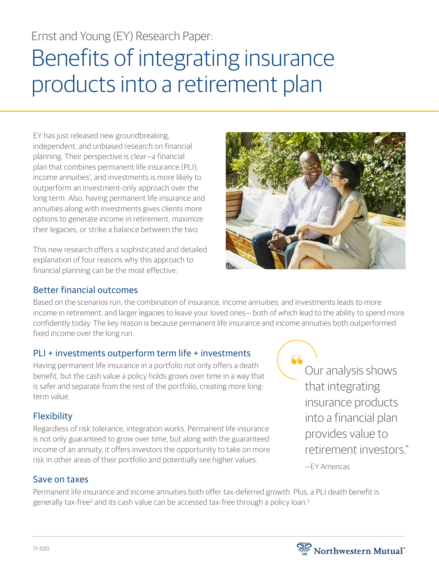# Ernst and Young (EY) Research Paper:

# Benefits of integrating insurance products into a retirement plan

EY has just released new groundbreaking, independent, and unbiased research on financial planning. Their perspective is clear—a financial plan that combines permanent life insurance (PLI), income annuities<sup>1</sup>, and investments is more likely to outperform an investment-only approach over the long term. Also, having permanent life insurance and annuities along with investments gives clients more options to generate income in retirement, maximize their legacies, or strike a balance between the two.

This new research offers a sophisticated and detailed explanation of four reasons why this approach to financial planning can be the most effective:



#### Better financial outcomes

Based on the scenarios run, the combination of insurance, income annuities, and investments leads to more income in retirement, and larger legacies to leave your loved ones— both of which lead to the ability to spend more confidently today. The key reason is because permanent life insurance and income annuities both outperformed fixed income over the long run.

#### PLI + investments outperform term life + investments

Having permanent life insurance in a portfolio not only offers a death benefit, but the cash value a policy holds grows over time in a way that is safer and separate from the rest of the portfolio, creating more longterm value.

## **Flexibility**

Regardless of risk tolerance, integration works. Permanent life insurance is not only guaranteed to grow over time, but along with the guaranteed income of an annuity, it offers investors the opportunity to take on more risk in other areas of their portfolio and potentially see higher values.

#### Save on taxes

Permanent life insurance and income annuities both offer tax-deferred growth. Plus, a PLI death benefit is generally tax-free<sup>2</sup> and its cash value can be accessed tax-free through a policy loan.<sup>3</sup>

66 Our analysis shows that integrating insurance products into a financial plan provides value to retirement investors." —EY Americas